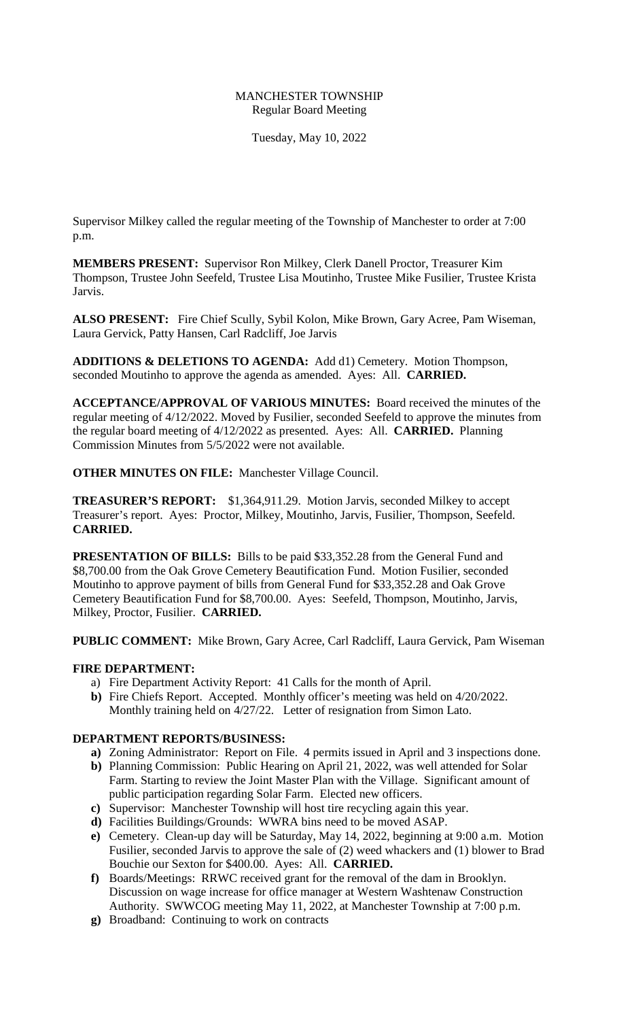## MANCHESTER TOWNSHIP Regular Board Meeting

Tuesday, May 10, 2022

Supervisor Milkey called the regular meeting of the Township of Manchester to order at 7:00 p.m.

**MEMBERS PRESENT:** Supervisor Ron Milkey, Clerk Danell Proctor, Treasurer Kim Thompson, Trustee John Seefeld, Trustee Lisa Moutinho, Trustee Mike Fusilier, Trustee Krista Jarvis.

**ALSO PRESENT:** Fire Chief Scully, Sybil Kolon, Mike Brown, Gary Acree, Pam Wiseman, Laura Gervick, Patty Hansen, Carl Radcliff, Joe Jarvis

**ADDITIONS & DELETIONS TO AGENDA:** Add d1) Cemetery. Motion Thompson, seconded Moutinho to approve the agenda as amended. Ayes: All. **CARRIED.**

**ACCEPTANCE/APPROVAL OF VARIOUS MINUTES:** Board received the minutes of the regular meeting of 4/12/2022. Moved by Fusilier, seconded Seefeld to approve the minutes from the regular board meeting of 4/12/2022 as presented. Ayes: All. **CARRIED.** Planning Commission Minutes from 5/5/2022 were not available.

**OTHER MINUTES ON FILE:** Manchester Village Council.

**TREASURER'S REPORT:** \$1,364,911.29. Motion Jarvis, seconded Milkey to accept Treasurer's report. Ayes: Proctor, Milkey, Moutinho, Jarvis, Fusilier, Thompson, Seefeld. **CARRIED.** 

**PRESENTATION OF BILLS:** Bills to be paid \$33,352.28 from the General Fund and \$8,700.00 from the Oak Grove Cemetery Beautification Fund. Motion Fusilier, seconded Moutinho to approve payment of bills from General Fund for \$33,352.28 and Oak Grove Cemetery Beautification Fund for \$8,700.00. Ayes: Seefeld, Thompson, Moutinho, Jarvis, Milkey, Proctor, Fusilier. **CARRIED.** 

**PUBLIC COMMENT:** Mike Brown, Gary Acree, Carl Radcliff, Laura Gervick, Pam Wiseman

# **FIRE DEPARTMENT:**

- a) Fire Department Activity Report: 41 Calls for the month of April.
- **b)** Fire Chiefs Report. Accepted. Monthly officer's meeting was held on 4/20/2022. Monthly training held on 4/27/22. Letter of resignation from Simon Lato.

## **DEPARTMENT REPORTS/BUSINESS:**

- **a)** Zoning Administrator: Report on File. 4 permits issued in April and 3 inspections done.
- **b)** Planning Commission: Public Hearing on April 21, 2022, was well attended for Solar Farm. Starting to review the Joint Master Plan with the Village. Significant amount of public participation regarding Solar Farm. Elected new officers.
- **c)** Supervisor: Manchester Township will host tire recycling again this year.
- **d)** Facilities Buildings/Grounds: WWRA bins need to be moved ASAP.
- **e)** Cemetery. Clean-up day will be Saturday, May 14, 2022, beginning at 9:00 a.m. Motion Fusilier, seconded Jarvis to approve the sale of (2) weed whackers and (1) blower to Brad Bouchie our Sexton for \$400.00. Ayes: All. **CARRIED.**
- **f)** Boards/Meetings: RRWC received grant for the removal of the dam in Brooklyn. Discussion on wage increase for office manager at Western Washtenaw Construction Authority. SWWCOG meeting May 11, 2022, at Manchester Township at 7:00 p.m.
- **g)** Broadband: Continuing to work on contracts